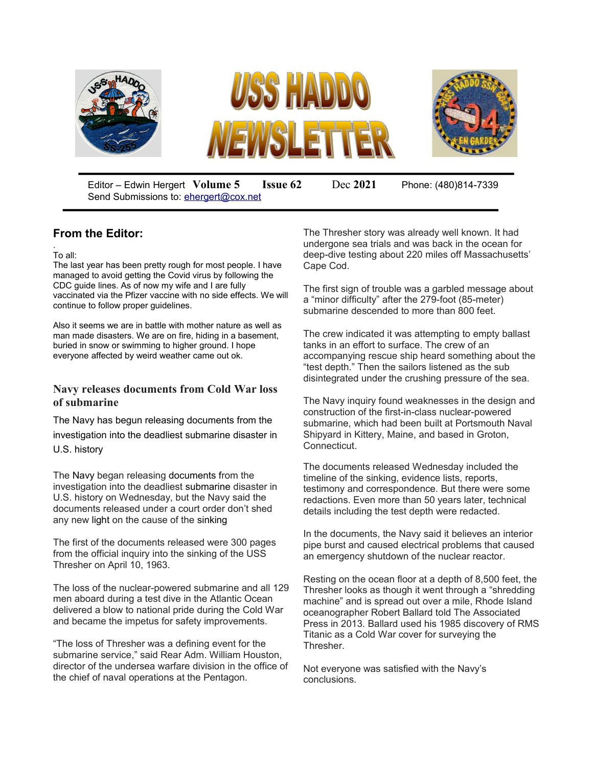

Editor – Edwin Hergert **Volume 5 Issue 62** Dec **2021** Phone: (480)814-7339 Send Submissions to: [ehergert@cox.net](mailto:ehergert@cox.net)

## **From the Editor:**

. To all:

The last year has been pretty rough for most people. I have managed to avoid getting the Covid virus by following the CDC guide lines. As of now my wife and I are fully vaccinated via the Pfizer vaccine with no side effects. We will continue to follow proper guidelines.

Also it seems we are in battle with mother nature as well as man made disasters. We are on fire, hiding in a basement, buried in snow or swimming to higher ground. I hope everyone affected by weird weather came out ok.

#### **Navy releases documents from Cold War loss of submarine**

The Navy has begun releasing documents from the investigation into the deadliest submarine disaster in U.S. history

The Navy began releasing documents from the investigation into the deadliest submarine disaster in U.S. history on Wednesday, but the Navy said the documents released under a court order don't shed any new light on the cause of the sinking

The first of the documents released were 300 pages from the official inquiry into the sinking of the USS Thresher on April 10, 1963.

The loss of the nuclear-powered submarine and all 129 men aboard during a test dive in the Atlantic Ocean delivered a blow to national pride during the Cold War and became the impetus for safety improvements.

"The loss of Thresher was a defining event for the submarine service," said Rear Adm. William Houston, director of the undersea warfare division in the office of the chief of naval operations at the Pentagon.

The Thresher story was already well known. It had undergone sea trials and was back in the ocean for deep-dive testing about 220 miles off Massachusetts' Cape Cod.

The first sign of trouble was a garbled message about a "minor difficulty" after the 279-foot (85-meter) submarine descended to more than 800 feet.

The crew indicated it was attempting to empty ballast tanks in an effort to surface. The crew of an accompanying rescue ship heard something about the "test depth." Then the sailors listened as the sub disintegrated under the crushing pressure of the sea.

The Navy inquiry found weaknesses in the design and construction of the first-in-class nuclear-powered submarine, which had been built at Portsmouth Naval Shipyard in Kittery, Maine, and based in Groton, Connecticut.

The documents released Wednesday included the timeline of the sinking, evidence lists, reports, testimony and correspondence. But there were some redactions. Even more than 50 years later, technical details including the test depth were redacted.

In the documents, the Navy said it believes an interior pipe burst and caused electrical problems that caused an emergency shutdown of the nuclear reactor.

Resting on the ocean floor at a depth of 8,500 feet, the Thresher looks as though it went through a "shredding machine" and is spread out over a mile, Rhode Island oceanographer Robert Ballard told The Associated Press in 2013. Ballard used his 1985 discovery of RMS Titanic as a Cold War cover for surveying the Thresher.

Not everyone was satisfied with the Navy's conclusions.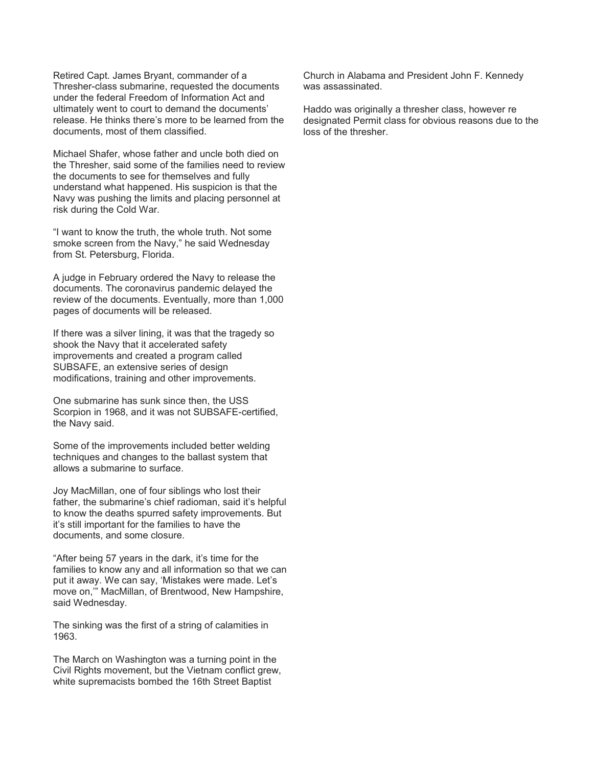Retired Capt. James Bryant, commander of a Thresher-class submarine, requested the documents under the federal Freedom of Information Act and ultimately went to court to demand the documents' release. He thinks there's more to be learned from the documents, most of them classified.

Michael Shafer, whose father and uncle both died on the Thresher, said some of the families need to review the documents to see for themselves and fully understand what happened. His suspicion is that the Navy was pushing the limits and placing personnel at risk during the Cold War.

"I want to know the truth, the whole truth. Not some smoke screen from the Navy," he said Wednesday from St. Petersburg, Florida.

A judge in February ordered the Navy to release the documents. The coronavirus pandemic delayed the review of the documents. Eventually, more than 1,000 pages of documents will be released.

If there was a silver lining, it was that the tragedy so shook the Navy that it accelerated safety improvements and created a program called SUBSAFE, an extensive series of design modifications, training and other improvements.

One submarine has sunk since then, the USS Scorpion in 1968, and it was not SUBSAFE-certified, the Navy said.

Some of the improvements included better welding techniques and changes to the ballast system that allows a submarine to surface.

Joy MacMillan, one of four siblings who lost their father, the submarine's chief radioman, said it's helpful to know the deaths spurred safety improvements. But it's still important for the families to have the documents, and some closure.

"After being 57 years in the dark, it's time for the families to know any and all information so that we can put it away. We can say, 'Mistakes were made. Let's move on,'" MacMillan, of Brentwood, New Hampshire, said Wednesday.

The sinking was the first of a string of calamities in 1963.

The March on Washington was a turning point in the Civil Rights movement, but the Vietnam conflict grew, white supremacists bombed the 16th Street Baptist

Church in Alabama and President John F. Kennedy was assassinated.

Haddo was originally a thresher class, however re designated Permit class for obvious reasons due to the loss of the thresher.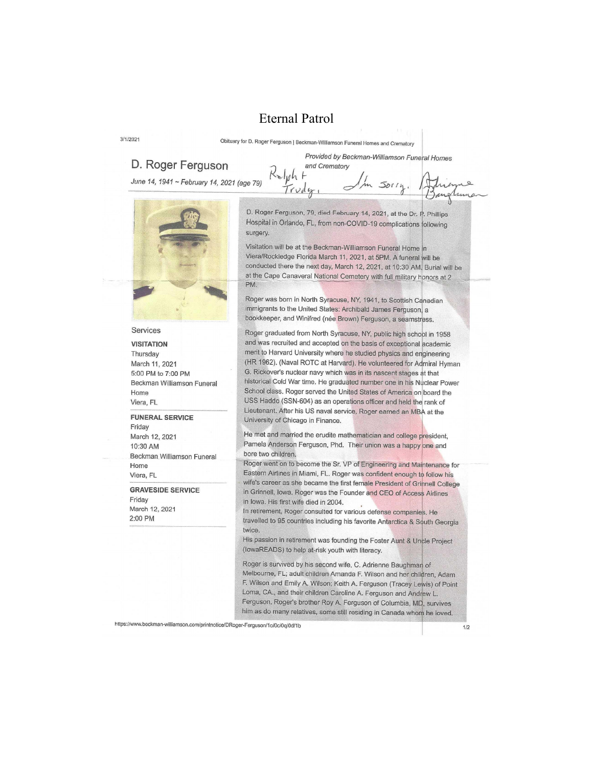### **Eternal Patrol**

 $\sim$ lph  $\theta$ 

Obituary for D. Roger Ferguson | Beckman-Williamson Funeral Homes and Crematory

and Crematory

#### D. Roger Ferguson

 $3/1/2021$ 

June 14, 1941 ~ February 14, 2021 (age 79)

Provided by Beckman-Williamson Funeral Homes  $5011n$ 



# Services

**VISITATION** Thursday March 11, 2021 5:00 PM to 7:00 PM Beckman Williamson Funeral Home Viera, FL

**FUNERAL SERVICE** Friday March 12, 2021 10:30 AM Beckman Williamson Funeral Home

Viera, FL **GRAVESIDE SERVICE** 

Friday March 12, 2021 2:00 PM

D. Roger Ferguson, 79, died February 14, 2021, at the Dr. P. Phillips Hospital in Orlando, FL, from non-COVID-19 complications following surgery.

Visitation will be at the Beckman-Williamson Funeral Home in Viera/Rockledge Florida March 11, 2021, at 5PM. A funeral will be conducted there the next day, March 12, 2021, at 10:30 AM. Burial will be at the Cape Canaveral National Cemetery with full military honors at 2 PM.

Roger was born in North Syracuse, NY, 1941, to Scottish Canadian immigrants to the United States: Archibald James Ferguson, a bookkeeper, and Winifred (née Brown) Ferguson, a seamstress.

Roger graduated from North Syracuse, NY, public high school in 1958 and was recruited and accepted on the basis of exceptional academic merit to Harvard University where he studied physics and engineering (HR 1962). (Naval ROTC at Harvard). He volunteered for Admiral Hyman G. Rickover's nuclear navy which was in its nascent stages at that historical Cold War time. He graduated number one in his Nuclear Power School class. Roger served the United States of America on board the USS Haddo (SSN-604) as an operations officer and held the rank of Lieutenant. After his US naval service, Roger earned an MBA at the University of Chicago in Finance.

He met and married the erudite mathematician and college president, Pamela Anderson Ferguson, Phd. Their union was a happy one and bore two children.

Roger went on to become the Sr. VP of Engineering and Maintenance for Eastern Airlines in Miami, FL. Roger was confident enough to follow his wife's career as she became the first female President of Grinnell College in Grinnell, Iowa. Roger was the Founder and CEO of Access Airlines in Iowa. His first wife died in 2004.

In retirement, Roger consulted for various defense companies. He travelled to 95 countries including his favorite Antarctica & South Georgia twice.

His passion in retirement was founding the Foster Aunt & Uncle Project (lowaREADS) to help at-risk youth with literacy.

Roger is survived by his second wife, C. Adrienne Baughman of Melbourne, FL; adult children Amanda F. Wilson and her children, Adam F. Wilson and Emily A. Wilson; Keith A. Ferguson (Tracey Lewis) of Point Loma, CA., and their children Caroline A. Ferguson and Andrew L. Ferguson. Roger's brother Roy A. Ferguson of Columbia, MD, survives him as do many relatives, some still residing in Canada whom he loved.

https://www.beckman-williamson.com/printnotice/DRoger-Ferguson/1o/0c/0q/0d/1b